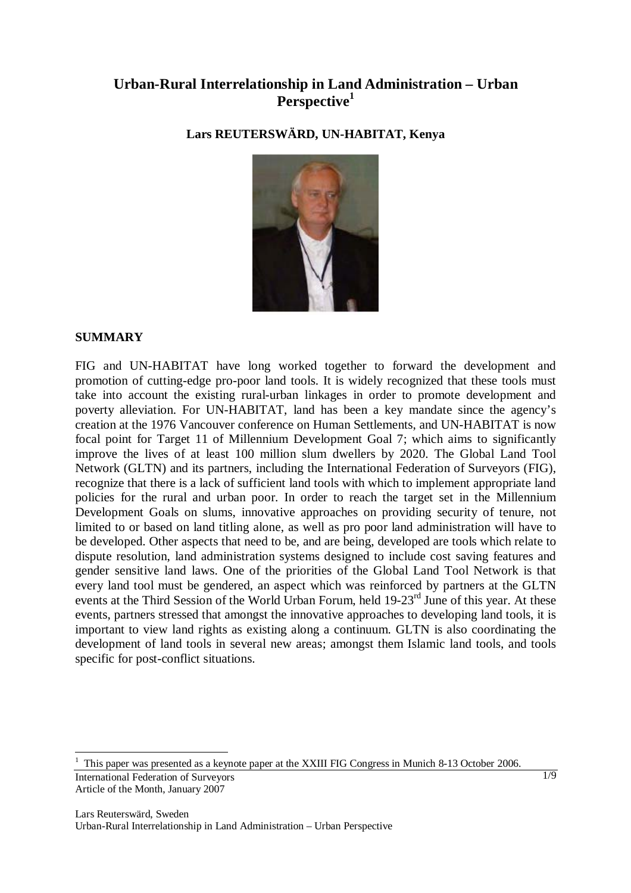# **Urban-Rural Interrelationship in Land Administration – Urban Perspective<sup>1</sup>**

**Lars REUTERSWÄRD, UN-HABITAT, Kenya** 



## **SUMMARY**

FIG and UN-HABITAT have long worked together to forward the development and promotion of cutting-edge pro-poor land tools. It is widely recognized that these tools must take into account the existing rural-urban linkages in order to promote development and poverty alleviation. For UN-HABITAT, land has been a key mandate since the agency's creation at the 1976 Vancouver conference on Human Settlements, and UN-HABITAT is now focal point for Target 11 of Millennium Development Goal 7; which aims to significantly improve the lives of at least 100 million slum dwellers by 2020. The Global Land Tool Network (GLTN) and its partners, including the International Federation of Surveyors (FIG), recognize that there is a lack of sufficient land tools with which to implement appropriate land policies for the rural and urban poor. In order to reach the target set in the Millennium Development Goals on slums, innovative approaches on providing security of tenure, not limited to or based on land titling alone, as well as pro poor land administration will have to be developed. Other aspects that need to be, and are being, developed are tools which relate to dispute resolution, land administration systems designed to include cost saving features and gender sensitive land laws. One of the priorities of the Global Land Tool Network is that every land tool must be gendered, an aspect which was reinforced by partners at the GLTN events at the Third Session of the World Urban Forum, held 19-23<sup>rd</sup> June of this year. At these events, partners stressed that amongst the innovative approaches to developing land tools, it is important to view land rights as existing along a continuum. GLTN is also coordinating the development of land tools in several new areas; amongst them Islamic land tools, and tools specific for post-conflict situations.

International Federation of Surveyors Article of the Month, January 2007  $\overline{a}$ 1 This paper was presented as a keynote paper at the XXIII FIG Congress in Munich 8-13 October 2006.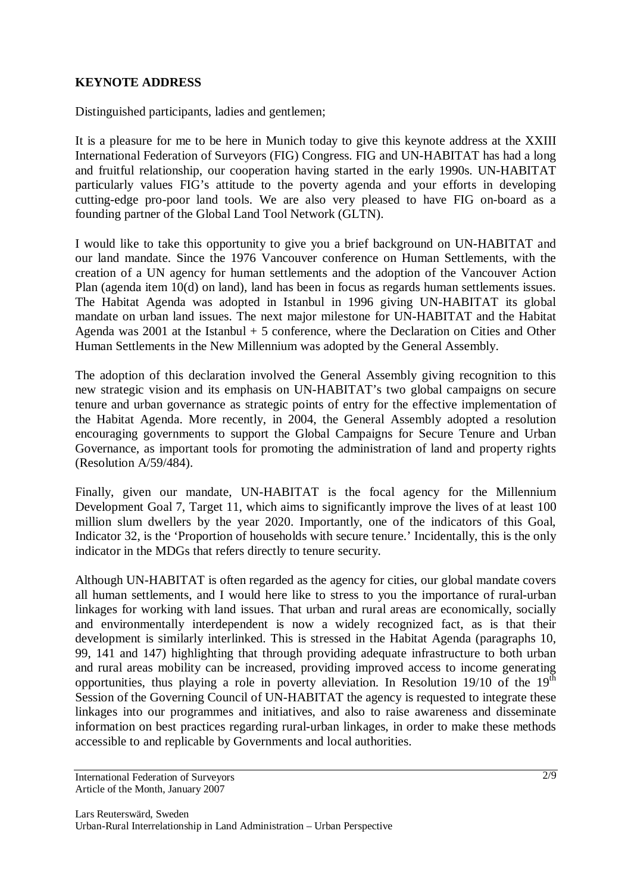### **KEYNOTE ADDRESS**

Distinguished participants, ladies and gentlemen;

It is a pleasure for me to be here in Munich today to give this keynote address at the XXIII International Federation of Surveyors (FIG) Congress. FIG and UN-HABITAT has had a long and fruitful relationship, our cooperation having started in the early 1990s. UN-HABITAT particularly values FIG's attitude to the poverty agenda and your efforts in developing cutting-edge pro-poor land tools. We are also very pleased to have FIG on-board as a founding partner of the Global Land Tool Network (GLTN).

I would like to take this opportunity to give you a brief background on UN-HABITAT and our land mandate. Since the 1976 Vancouver conference on Human Settlements, with the creation of a UN agency for human settlements and the adoption of the Vancouver Action Plan (agenda item 10(d) on land), land has been in focus as regards human settlements issues. The Habitat Agenda was adopted in Istanbul in 1996 giving UN-HABITAT its global mandate on urban land issues. The next major milestone for UN-HABITAT and the Habitat Agenda was 2001 at the Istanbul  $+5$  conference, where the Declaration on Cities and Other Human Settlements in the New Millennium was adopted by the General Assembly.

The adoption of this declaration involved the General Assembly giving recognition to this new strategic vision and its emphasis on UN-HABITAT's two global campaigns on secure tenure and urban governance as strategic points of entry for the effective implementation of the Habitat Agenda. More recently, in 2004, the General Assembly adopted a resolution encouraging governments to support the Global Campaigns for Secure Tenure and Urban Governance, as important tools for promoting the administration of land and property rights (Resolution A/59/484).

Finally, given our mandate, UN-HABITAT is the focal agency for the Millennium Development Goal 7, Target 11, which aims to significantly improve the lives of at least 100 million slum dwellers by the year 2020. Importantly, one of the indicators of this Goal, Indicator 32, is the 'Proportion of households with secure tenure.' Incidentally, this is the only indicator in the MDGs that refers directly to tenure security.

Although UN-HABITAT is often regarded as the agency for cities, our global mandate covers all human settlements, and I would here like to stress to you the importance of rural-urban linkages for working with land issues. That urban and rural areas are economically, socially and environmentally interdependent is now a widely recognized fact, as is that their development is similarly interlinked. This is stressed in the Habitat Agenda (paragraphs 10, 99, 141 and 147) highlighting that through providing adequate infrastructure to both urban and rural areas mobility can be increased, providing improved access to income generating opportunities, thus playing a role in poverty alleviation. In Resolution  $19/10$  of the  $19<sup>th</sup>$ Session of the Governing Council of UN-HABITAT the agency is requested to integrate these linkages into our programmes and initiatives, and also to raise awareness and disseminate information on best practices regarding rural-urban linkages, in order to make these methods accessible to and replicable by Governments and local authorities.

International Federation of Surveyors Article of the Month, January 2007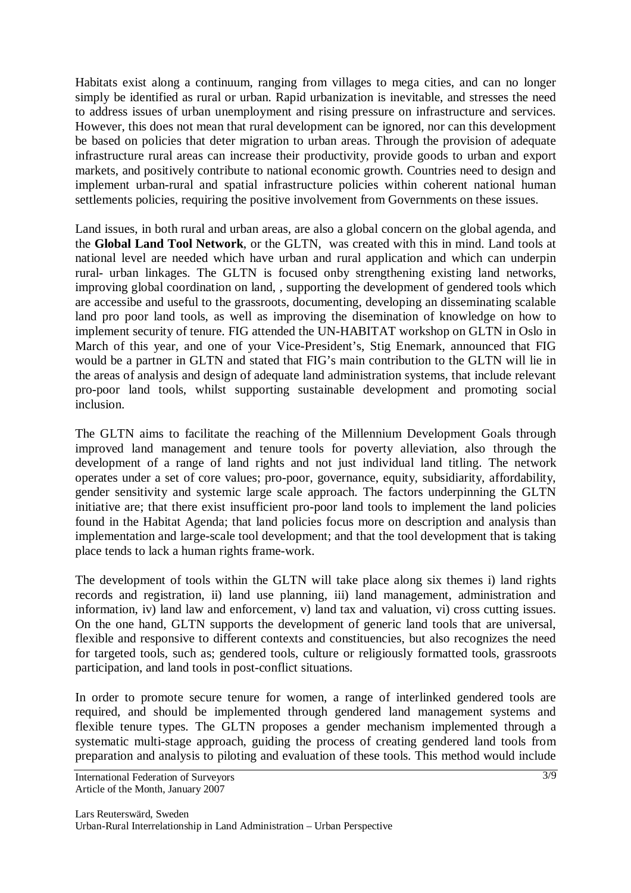Habitats exist along a continuum, ranging from villages to mega cities, and can no longer simply be identified as rural or urban. Rapid urbanization is inevitable, and stresses the need to address issues of urban unemployment and rising pressure on infrastructure and services. However, this does not mean that rural development can be ignored, nor can this development be based on policies that deter migration to urban areas. Through the provision of adequate infrastructure rural areas can increase their productivity, provide goods to urban and export markets, and positively contribute to national economic growth. Countries need to design and implement urban-rural and spatial infrastructure policies within coherent national human settlements policies, requiring the positive involvement from Governments on these issues.

Land issues, in both rural and urban areas, are also a global concern on the global agenda, and the **Global Land Tool Network**, or the GLTN, was created with this in mind. Land tools at national level are needed which have urban and rural application and which can underpin rural- urban linkages. The GLTN is focused onby strengthening existing land networks, improving global coordination on land, , supporting the development of gendered tools which are accessibe and useful to the grassroots, documenting, developing an disseminating scalable land pro poor land tools, as well as improving the disemination of knowledge on how to implement security of tenure. FIG attended the UN-HABITAT workshop on GLTN in Oslo in March of this year, and one of your Vice-President's, Stig Enemark, announced that FIG would be a partner in GLTN and stated that FIG's main contribution to the GLTN will lie in the areas of analysis and design of adequate land administration systems, that include relevant pro-poor land tools, whilst supporting sustainable development and promoting social inclusion.

The GLTN aims to facilitate the reaching of the Millennium Development Goals through improved land management and tenure tools for poverty alleviation, also through the development of a range of land rights and not just individual land titling. The network operates under a set of core values; pro-poor, governance, equity, subsidiarity, affordability, gender sensitivity and systemic large scale approach. The factors underpinning the GLTN initiative are; that there exist insufficient pro-poor land tools to implement the land policies found in the Habitat Agenda; that land policies focus more on description and analysis than implementation and large-scale tool development; and that the tool development that is taking place tends to lack a human rights frame-work.

The development of tools within the GLTN will take place along six themes i) land rights records and registration, ii) land use planning, iii) land management, administration and information, iv) land law and enforcement, v) land tax and valuation, vi) cross cutting issues. On the one hand, GLTN supports the development of generic land tools that are universal, flexible and responsive to different contexts and constituencies, but also recognizes the need for targeted tools, such as; gendered tools, culture or religiously formatted tools, grassroots participation, and land tools in post-conflict situations.

In order to promote secure tenure for women, a range of interlinked gendered tools are required, and should be implemented through gendered land management systems and flexible tenure types. The GLTN proposes a gender mechanism implemented through a systematic multi-stage approach, guiding the process of creating gendered land tools from preparation and analysis to piloting and evaluation of these tools. This method would include

International Federation of Surveyors Article of the Month, January 2007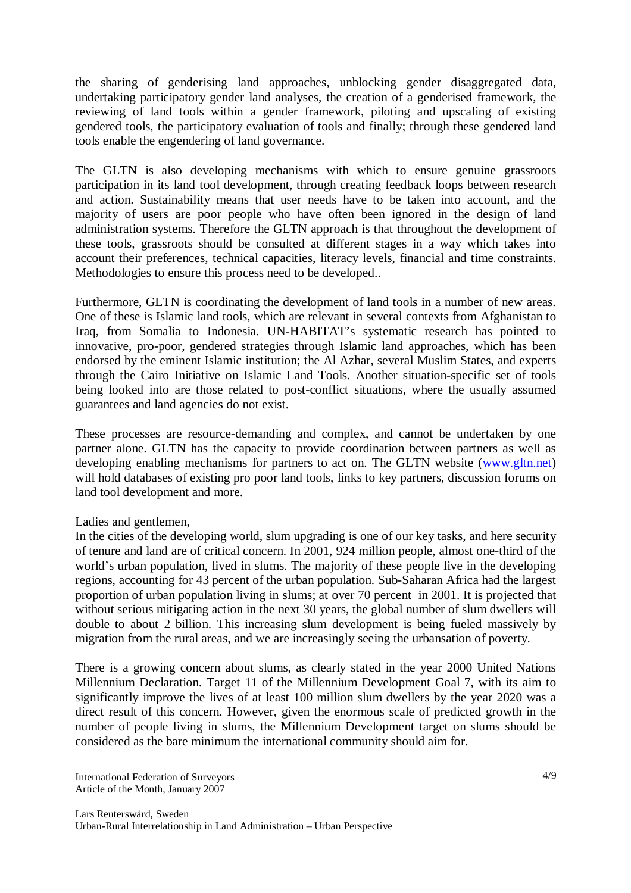the sharing of genderising land approaches, unblocking gender disaggregated data, undertaking participatory gender land analyses, the creation of a genderised framework, the reviewing of land tools within a gender framework, piloting and upscaling of existing gendered tools, the participatory evaluation of tools and finally; through these gendered land tools enable the engendering of land governance.

The GLTN is also developing mechanisms with which to ensure genuine grassroots participation in its land tool development, through creating feedback loops between research and action. Sustainability means that user needs have to be taken into account, and the majority of users are poor people who have often been ignored in the design of land administration systems. Therefore the GLTN approach is that throughout the development of these tools, grassroots should be consulted at different stages in a way which takes into account their preferences, technical capacities, literacy levels, financial and time constraints. Methodologies to ensure this process need to be developed..

Furthermore, GLTN is coordinating the development of land tools in a number of new areas. One of these is Islamic land tools, which are relevant in several contexts from Afghanistan to Iraq, from Somalia to Indonesia. UN-HABITAT's systematic research has pointed to innovative, pro-poor, gendered strategies through Islamic land approaches, which has been endorsed by the eminent Islamic institution; the Al Azhar, several Muslim States, and experts through the Cairo Initiative on Islamic Land Tools. Another situation-specific set of tools being looked into are those related to post-conflict situations, where the usually assumed guarantees and land agencies do not exist.

These processes are resource-demanding and complex, and cannot be undertaken by one partner alone. GLTN has the capacity to provide coordination between partners as well as developing enabling mechanisms for partners to act on. The GLTN website (www.gltn.net) will hold databases of existing pro poor land tools, links to key partners, discussion forums on land tool development and more.

## Ladies and gentlemen,

In the cities of the developing world, slum upgrading is one of our key tasks, and here security of tenure and land are of critical concern. In 2001, 924 million people, almost one-third of the world's urban population, lived in slums. The majority of these people live in the developing regions, accounting for 43 percent of the urban population. Sub-Saharan Africa had the largest proportion of urban population living in slums; at over 70 percent in 2001. It is projected that without serious mitigating action in the next 30 years, the global number of slum dwellers will double to about 2 billion. This increasing slum development is being fueled massively by migration from the rural areas, and we are increasingly seeing the urbansation of poverty.

There is a growing concern about slums, as clearly stated in the year 2000 United Nations Millennium Declaration. Target 11 of the Millennium Development Goal 7, with its aim to significantly improve the lives of at least 100 million slum dwellers by the year 2020 was a direct result of this concern. However, given the enormous scale of predicted growth in the number of people living in slums, the Millennium Development target on slums should be considered as the bare minimum the international community should aim for.

International Federation of Surveyors Article of the Month, January 2007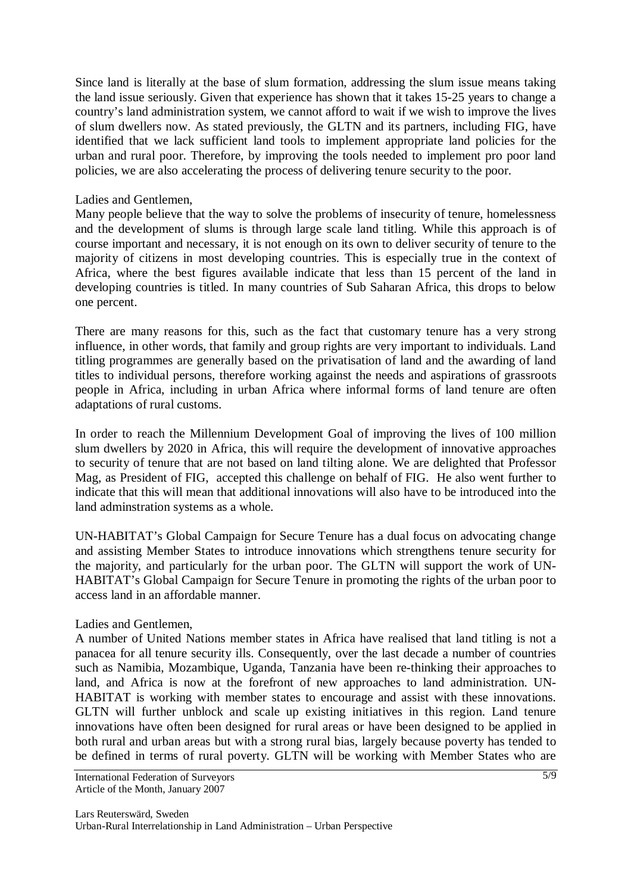Since land is literally at the base of slum formation, addressing the slum issue means taking the land issue seriously. Given that experience has shown that it takes 15-25 years to change a country's land administration system, we cannot afford to wait if we wish to improve the lives of slum dwellers now. As stated previously, the GLTN and its partners, including FIG, have identified that we lack sufficient land tools to implement appropriate land policies for the urban and rural poor. Therefore, by improving the tools needed to implement pro poor land policies, we are also accelerating the process of delivering tenure security to the poor.

#### Ladies and Gentlemen,

Many people believe that the way to solve the problems of insecurity of tenure, homelessness and the development of slums is through large scale land titling. While this approach is of course important and necessary, it is not enough on its own to deliver security of tenure to the majority of citizens in most developing countries. This is especially true in the context of Africa, where the best figures available indicate that less than 15 percent of the land in developing countries is titled. In many countries of Sub Saharan Africa, this drops to below one percent.

There are many reasons for this, such as the fact that customary tenure has a very strong influence, in other words, that family and group rights are very important to individuals. Land titling programmes are generally based on the privatisation of land and the awarding of land titles to individual persons, therefore working against the needs and aspirations of grassroots people in Africa, including in urban Africa where informal forms of land tenure are often adaptations of rural customs.

In order to reach the Millennium Development Goal of improving the lives of 100 million slum dwellers by 2020 in Africa, this will require the development of innovative approaches to security of tenure that are not based on land tilting alone. We are delighted that Professor Mag, as President of FIG, accepted this challenge on behalf of FIG. He also went further to indicate that this will mean that additional innovations will also have to be introduced into the land adminstration systems as a whole.

UN-HABITAT's Global Campaign for Secure Tenure has a dual focus on advocating change and assisting Member States to introduce innovations which strengthens tenure security for the majority, and particularly for the urban poor. The GLTN will support the work of UN-HABITAT's Global Campaign for Secure Tenure in promoting the rights of the urban poor to access land in an affordable manner.

#### Ladies and Gentlemen,

A number of United Nations member states in Africa have realised that land titling is not a panacea for all tenure security ills. Consequently, over the last decade a number of countries such as Namibia, Mozambique, Uganda, Tanzania have been re-thinking their approaches to land, and Africa is now at the forefront of new approaches to land administration. UN-HABITAT is working with member states to encourage and assist with these innovations. GLTN will further unblock and scale up existing initiatives in this region. Land tenure innovations have often been designed for rural areas or have been designed to be applied in both rural and urban areas but with a strong rural bias, largely because poverty has tended to be defined in terms of rural poverty. GLTN will be working with Member States who are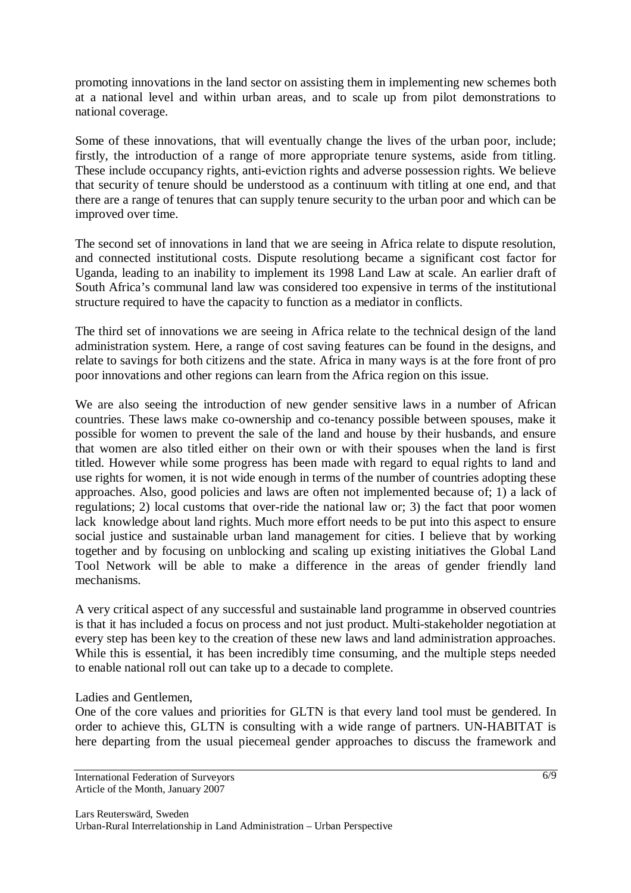promoting innovations in the land sector on assisting them in implementing new schemes both at a national level and within urban areas, and to scale up from pilot demonstrations to national coverage.

Some of these innovations, that will eventually change the lives of the urban poor, include; firstly, the introduction of a range of more appropriate tenure systems, aside from titling. These include occupancy rights, anti-eviction rights and adverse possession rights. We believe that security of tenure should be understood as a continuum with titling at one end, and that there are a range of tenures that can supply tenure security to the urban poor and which can be improved over time.

The second set of innovations in land that we are seeing in Africa relate to dispute resolution, and connected institutional costs. Dispute resolutiong became a significant cost factor for Uganda, leading to an inability to implement its 1998 Land Law at scale. An earlier draft of South Africa's communal land law was considered too expensive in terms of the institutional structure required to have the capacity to function as a mediator in conflicts.

The third set of innovations we are seeing in Africa relate to the technical design of the land administration system. Here, a range of cost saving features can be found in the designs, and relate to savings for both citizens and the state. Africa in many ways is at the fore front of pro poor innovations and other regions can learn from the Africa region on this issue.

We are also seeing the introduction of new gender sensitive laws in a number of African countries. These laws make co-ownership and co-tenancy possible between spouses, make it possible for women to prevent the sale of the land and house by their husbands, and ensure that women are also titled either on their own or with their spouses when the land is first titled. However while some progress has been made with regard to equal rights to land and use rights for women, it is not wide enough in terms of the number of countries adopting these approaches. Also, good policies and laws are often not implemented because of; 1) a lack of regulations; 2) local customs that over-ride the national law or; 3) the fact that poor women lack knowledge about land rights. Much more effort needs to be put into this aspect to ensure social justice and sustainable urban land management for cities. I believe that by working together and by focusing on unblocking and scaling up existing initiatives the Global Land Tool Network will be able to make a difference in the areas of gender friendly land mechanisms.

A very critical aspect of any successful and sustainable land programme in observed countries is that it has included a focus on process and not just product. Multi-stakeholder negotiation at every step has been key to the creation of these new laws and land administration approaches. While this is essential, it has been incredibly time consuming, and the multiple steps needed to enable national roll out can take up to a decade to complete.

Ladies and Gentlemen,

One of the core values and priorities for GLTN is that every land tool must be gendered. In order to achieve this, GLTN is consulting with a wide range of partners. UN-HABITAT is here departing from the usual piecemeal gender approaches to discuss the framework and

International Federation of Surveyors Article of the Month, January 2007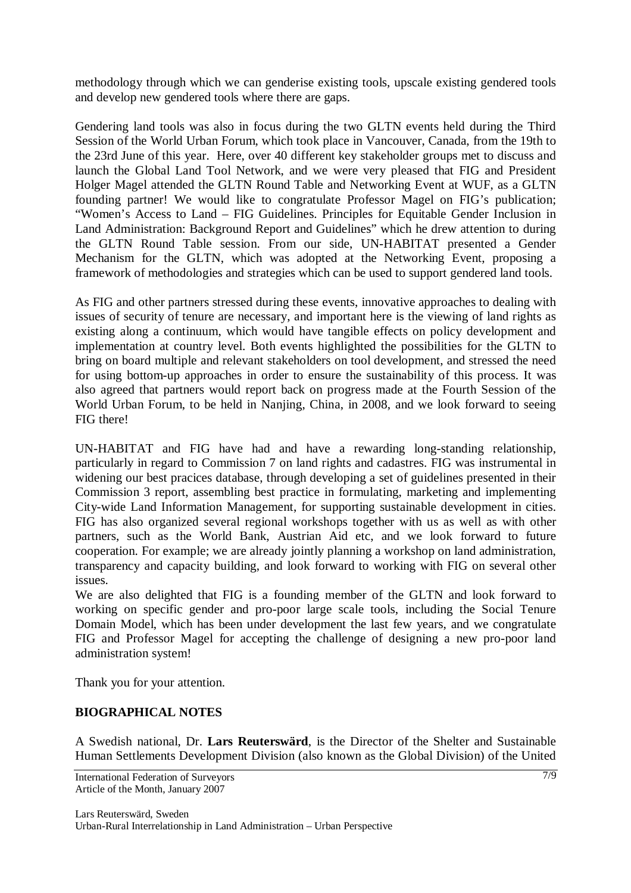methodology through which we can genderise existing tools, upscale existing gendered tools and develop new gendered tools where there are gaps.

Gendering land tools was also in focus during the two GLTN events held during the Third Session of the World Urban Forum, which took place in Vancouver, Canada, from the 19th to the 23rd June of this year. Here, over 40 different key stakeholder groups met to discuss and launch the Global Land Tool Network, and we were very pleased that FIG and President Holger Magel attended the GLTN Round Table and Networking Event at WUF, as a GLTN founding partner! We would like to congratulate Professor Magel on FIG's publication; "Women's Access to Land – FIG Guidelines. Principles for Equitable Gender Inclusion in Land Administration: Background Report and Guidelines" which he drew attention to during the GLTN Round Table session. From our side, UN-HABITAT presented a Gender Mechanism for the GLTN, which was adopted at the Networking Event, proposing a framework of methodologies and strategies which can be used to support gendered land tools.

As FIG and other partners stressed during these events, innovative approaches to dealing with issues of security of tenure are necessary, and important here is the viewing of land rights as existing along a continuum, which would have tangible effects on policy development and implementation at country level. Both events highlighted the possibilities for the GLTN to bring on board multiple and relevant stakeholders on tool development, and stressed the need for using bottom-up approaches in order to ensure the sustainability of this process. It was also agreed that partners would report back on progress made at the Fourth Session of the World Urban Forum, to be held in Nanjing, China, in 2008, and we look forward to seeing FIG there!

UN-HABITAT and FIG have had and have a rewarding long-standing relationship, particularly in regard to Commission 7 on land rights and cadastres. FIG was instrumental in widening our best pracices database, through developing a set of guidelines presented in their Commission 3 report, assembling best practice in formulating, marketing and implementing City-wide Land Information Management, for supporting sustainable development in cities. FIG has also organized several regional workshops together with us as well as with other partners, such as the World Bank, Austrian Aid etc, and we look forward to future cooperation. For example; we are already jointly planning a workshop on land administration, transparency and capacity building, and look forward to working with FIG on several other issues.

We are also delighted that FIG is a founding member of the GLTN and look forward to working on specific gender and pro-poor large scale tools, including the Social Tenure Domain Model, which has been under development the last few years, and we congratulate FIG and Professor Magel for accepting the challenge of designing a new pro-poor land administration system!

Thank you for your attention.

## **BIOGRAPHICAL NOTES**

A Swedish national, Dr. **Lars Reuterswärd**, is the Director of the Shelter and Sustainable Human Settlements Development Division (also known as the Global Division) of the United

International Federation of Surveyors Article of the Month, January 2007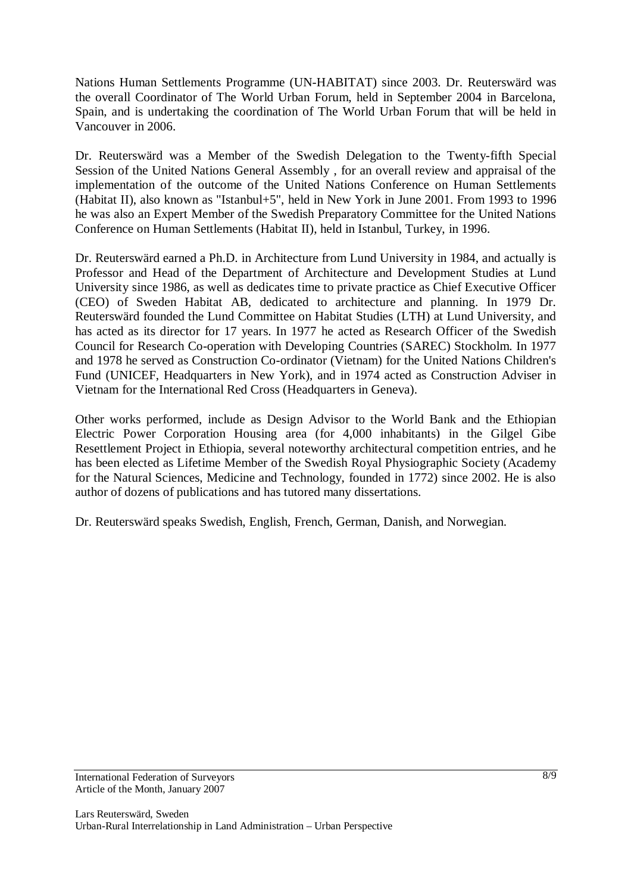Nations Human Settlements Programme (UN-HABITAT) since 2003. Dr. Reuterswärd was the overall Coordinator of The World Urban Forum, held in September 2004 in Barcelona, Spain, and is undertaking the coordination of The World Urban Forum that will be held in Vancouver in 2006.

Dr. Reuterswärd was a Member of the Swedish Delegation to the Twenty-fifth Special Session of the United Nations General Assembly , for an overall review and appraisal of the implementation of the outcome of the United Nations Conference on Human Settlements (Habitat II), also known as "Istanbul+5", held in New York in June 2001. From 1993 to 1996 he was also an Expert Member of the Swedish Preparatory Committee for the United Nations Conference on Human Settlements (Habitat II), held in Istanbul, Turkey, in 1996.

Dr. Reuterswärd earned a Ph.D. in Architecture from Lund University in 1984, and actually is Professor and Head of the Department of Architecture and Development Studies at Lund University since 1986, as well as dedicates time to private practice as Chief Executive Officer (CEO) of Sweden Habitat AB, dedicated to architecture and planning. In 1979 Dr. Reuterswärd founded the Lund Committee on Habitat Studies (LTH) at Lund University, and has acted as its director for 17 years. In 1977 he acted as Research Officer of the Swedish Council for Research Co-operation with Developing Countries (SAREC) Stockholm. In 1977 and 1978 he served as Construction Co-ordinator (Vietnam) for the United Nations Children's Fund (UNICEF, Headquarters in New York), and in 1974 acted as Construction Adviser in Vietnam for the International Red Cross (Headquarters in Geneva).

Other works performed, include as Design Advisor to the World Bank and the Ethiopian Electric Power Corporation Housing area (for 4,000 inhabitants) in the Gilgel Gibe Resettlement Project in Ethiopia, several noteworthy architectural competition entries, and he has been elected as Lifetime Member of the Swedish Royal Physiographic Society (Academy for the Natural Sciences, Medicine and Technology, founded in 1772) since 2002. He is also author of dozens of publications and has tutored many dissertations.

Dr. Reuterswärd speaks Swedish, English, French, German, Danish, and Norwegian.